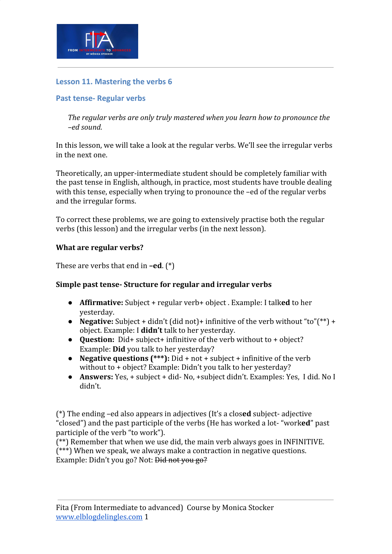

# **Lesson 11. Mastering the verbs 6**

## **Past tense- Regular verbs**

*The regular verbs are only truly mastered when you learn how to pronounce the –ed sound.*

In this lesson, we will take a look at the regular verbs. We'll see the irregular verbs in the next one.

Theoretically, an upper-intermediate student should be completely familiar with the past tense in English, although, in practice, most students have trouble dealing with this tense, especially when trying to pronounce the –ed of the regular verbs and the irregular forms.

To correct these problems, we are going to extensively practise both the regular verbs (this lesson) and the irregular verbs (in the next lesson).

### **What are regular verbs?**

These are verbs that end in **–ed**. (\*)

### **Simple past tense- Structure for regular and irregular verbs**

- **Affirmative:** Subject + regular verb+ object . Example: I talk**ed** to her yesterday.
- **Negative:** Subject + didn't (did not)+ infinitive of the verb without "to"(\*\*) + object. Example: I **didn't** talk to her yesterday.
- **Question:** Did+ subject+ infinitive of the verb without to + object? Example: **Did** you talk to her yesterday?
- **Negative questions (\*\*\*):** Did + not + subject + infinitive of the verb without to + object? Example: Didn't you talk to her yesterday?
- **Answers:** Yes, + subject + did- No, +subject didn't. Examples: Yes, I did. No I didn't.

(\*) The ending –ed also appears in adjectives (It's a clos**ed** subject- adjective "closed") and the past participle of the verbs (He has worked a lot- "work**ed**" past participle of the verb "to work").

(\*\*) Remember that when we use did, the main verb always goes in INFINITIVE. (\*\*\*) When we speak, we always make a contraction in negative questions. Example: Didn't you go? Not: <del>Did not you go?</del>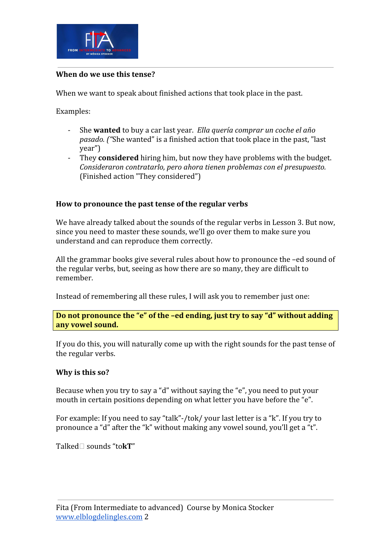

### **When do we use this tense?**

When we want to speak about finished actions that took place in the past.

Examples:

- She **wanted** to buy a car last year. *Ella quería comprar un coche el año pasado. ("*She wanted" is a finished action that took place in the past, "last year")
- They **considered** hiring him, but now they have problems with the budget. *Consideraron contratarlo, pero ahora tienen problemas con el presupuesto.* (Finished action "They considered")

## **How to pronounce the past tense of the regular verbs**

We have already talked about the sounds of the regular verbs in Lesson 3. But now, since you need to master these sounds, we'll go over them to make sure you understand and can reproduce them correctly.

All the grammar books give several rules about how to pronounce the –ed sound of the regular verbs, but, seeing as how there are so many, they are difficult to remember.

Instead of remembering all these rules, I will ask you to remember just one:

**Do not pronounce the "e" of the –ed ending, just try to say "d" without adding any vowel sound.**

If you do this, you will naturally come up with the right sounds for the past tense of the regular verbs.

### **Why is this so?**

Because when you try to say a "d" without saying the "e", you need to put your mouth in certain positions depending on what letter you have before the "e".

For example: If you need to say "talk"-/tok/ your last letter is a "k". If you try to pronounce a "d" after the "k" without making any vowel sound, you'll get a "t".

Talked□ sounds "to**kT**"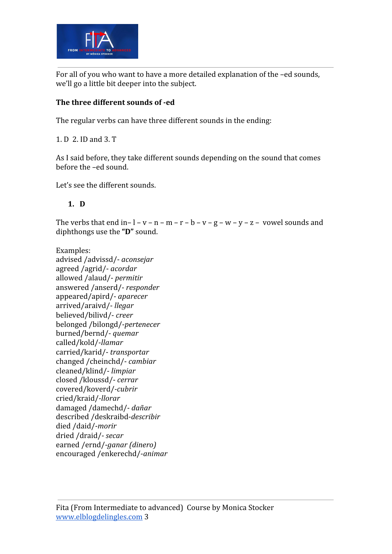

For all of you who want to have a more detailed explanation of the –ed sounds, we'll go a little bit deeper into the subject.

# **The three different sounds of -ed**

The regular verbs can have three different sounds in the ending:

1. D 2. ID and 3. T

As I said before, they take different sounds depending on the sound that comes before the –ed sound.

Let's see the different sounds.

# **1. D**

The verbs that end in–  $l - v - n - m - r - b - v - g - w - v - z - v$  owel sounds and diphthongs use the **"D"** sound.

Examples: advised /advissd/- *aconsejar* agreed /agrid/- *acordar* allowed /alaud/- *permitir* answered /anserd/- *responder* appeared/apird/- *aparecer* arrived/araivd/- *llegar* believed/bilivd/- *creer* belonged /bilongd/-*pertenecer* burned/bernd/- *quemar* called/kold/-*llamar* carried/karid/- *transportar* changed /cheinchd/- *cambiar* cleaned/klind/- *limpiar* closed /kloussd/- *cerrar* covered/koverd/*-cubrir* cried/kraid/*-llorar* damaged /damechd/- *dañar* described /deskraibd-*describir* died /daid/-*morir* dried /draid/- *secar* earned /ernd/-*ganar (dinero)* encouraged /enkerechd/-*animar*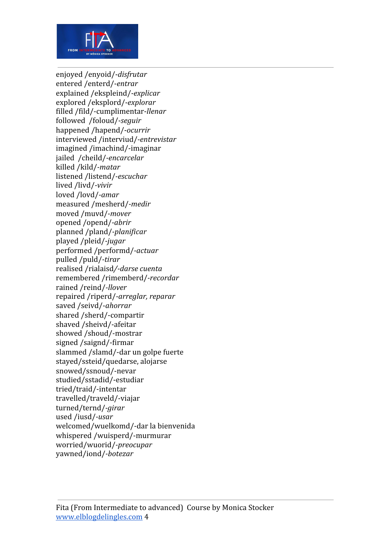

enjoyed /enyoid/-*disfrutar* entered /enterd/-*entrar* explained /ekspleind/-*explicar* explored /eksplord/-*explorar* filled /fild/-cumplimentar-*llenar* followed /foloud/-*seguir* happened /hapend/-*ocurrir* interviewed /interviud/*-entrevistar* imagined /imachind/-imaginar jailed /cheild/*-encarcelar* killed /kild/*-matar* listened /listend/*-escuchar* lived /livd/*-vivir* loved /lovd/*-amar* measured /mesherd/*-medir* moved /muvd/*-mover* opened /opend/*-abrir* planned /pland/*-planificar* played /pleid/*-jugar* performed /performd/*-actuar* pulled /puld/*-tirar* realised /rialaisd*/-darse cuenta* remembered /rimemberd/*-recordar* rained /reind/*-llover* repaired /riperd/*-arreglar, reparar* saved /seivd/-*ahorrar* shared /sherd/-compartir shaved /sheivd/-afeitar showed /shoud/-mostrar signed /saignd/-firmar slammed /slamd/-dar un golpe fuerte stayed/ssteid/quedarse, alojarse snowed/ssnoud/-nevar studied/sstadid/-estudiar tried/traid/-intentar travelled/traveld/-viajar turned/ternd/*-girar* used /iusd/*-usar* welcomed/wuelkomd/-dar la bienvenida whispered /wuisperd/-murmurar worried/wuorid/*-preocupar* yawned/iond/*-botezar*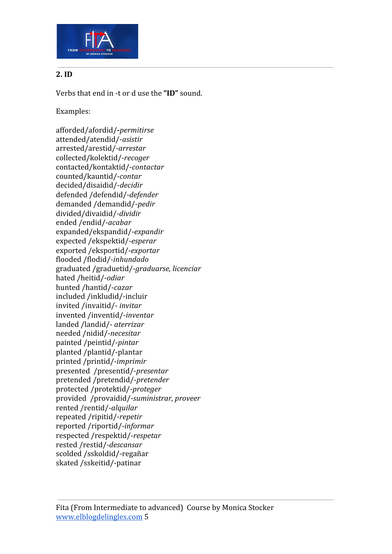

# **2. ID**

Verbs that end in -t or d use the **"ID"** sound.

Examples:

afforded/afordid/**-***permitirse* attended/atendid/-*asistir* arrested/arestid/-*arrestar* collected/kolektid/-*recoger* contacted/kontaktid/-*contactar* counted/kauntid/-*contar* decided/disaidid/-*decidir* defended /defendid/-*defender* demanded /demandid/-*pedir* divided/divaidid/-*dividir* ended /endid/-*acabar* expanded/ekspandid/-*expandir* expected /ekspektid/-*esperar* exported /eksportid/-*exportar* flooded /flodid/-*inhundado* graduated /graduetid/-*graduarse, licenciar* hated /heitid/-*odiar* hunted /hantid/-*cazar* included /inkludid/-incluir invited /invaitid/- *invitar* invented /inventid/-*inventar* landed /landid/- *aterrizar* needed /nidid/-*necesitar* painted /peintid/-*pintar* planted /plantid/-plantar printed /printid/-*imprimir* presented /presentid/-*presentar* pretended /pretendid/-*pretender* protected /protektid/-*proteger* provided /provaidid/-*suministrar, proveer* rented /rentid/-*alquilar* repeated /ripitid/-*repetir* reported /riportid/-*informar* respected /respektid/-*respetar* rested /restid/-*descansar* scolded /sskoldid/-regañar skated /sskeitid/-patinar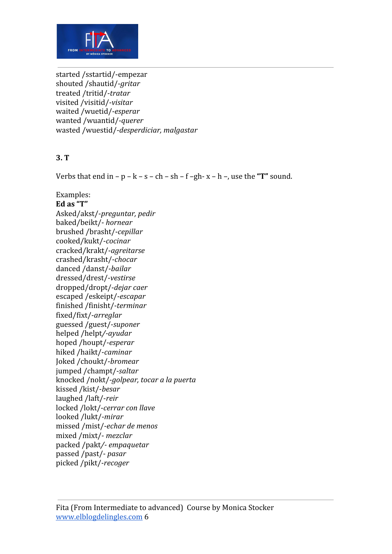

started /sstartid/-empezar shouted /shautid/-*gritar* treated /tritid/-*tratar* visited /visitid/-*visitar* waited /wuetid/-*esperar* wanted /wuantid/-*querer* wasted /wuestid/-*desperdiciar, malgastar*

## **3. T**

Verbs that end in –  $p - k - s - ch - sh - f - gh - x - h - g$ , use the "T" sound.

Examples: **Ed as "T"** Asked/akst/-*preguntar, pedir* baked/beikt/- *hornear* brushed /brasht/-*cepillar* cooked/kukt/-*cocinar* cracked/krakt/-*agreitarse* crashed/krasht/-*chocar* danced /danst/-*bailar* dressed/drest/-*vestirse* dropped/dropt/-*dejar caer* escaped /eskeipt/-*escapar* finished /finisht/-*terminar* fixed/fixt/-*arreglar* guessed /guest/-*suponer* helped /helpt*/-ayudar* hoped /houpt/-*esperar* hiked /haikt/-*caminar* Joked /choukt/-*bromear* jumped /champt/-*saltar* knocked /nokt/-*golpear, tocar a la puerta* kissed /kist/-*besar* laughed /laft/-*reir* locked /lokt/-*cerrar con llave* looked /lukt/-*mirar* missed /mist/-*echar de menos* mixed /mixt/- *mezclar* packed /pakt*/- empaquetar* passed /past/- *pasar* picked /pikt/-*recoger*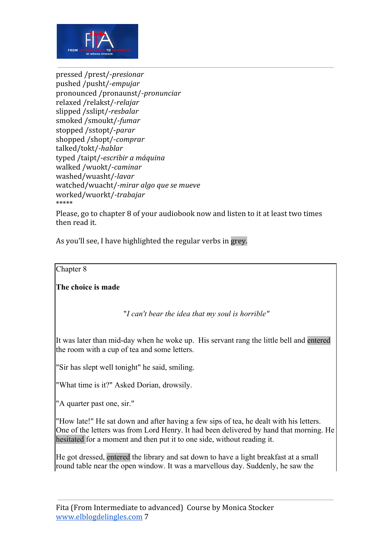

pressed /prest/-*presionar* pushed /pusht/-*empujar* pronounced /pronaunst/-*pronunciar* relaxed /relakst/-*relajar* slipped /sslipt/-*resbalar* smoked /smoukt/-*fumar* stopped /sstopt/-*parar* shopped /shopt/-*comprar* talked/tokt/*-hablar* typed /taipt/-*escribir a máquina* walked /wuokt/-*caminar* washed/wuasht/-*lavar* watched/wuacht/-*mirar algo que se mueve* worked/wuorkt/-*trabajar* \*\*\*\*\*

Please, go to chapter 8 of your audiobook now and listen to it at least two times then read it.

As you'll see, I have highlighted the regular verbs in grey.

Chapter 8

**The choice is made**

"*I can't bear the idea that my soul is horrible"*

It was later than mid-day when he woke up. His servant rang the little bell and entered the room with a cup of tea and some letters.

"Sir has slept well tonight" he said, smiling.

"What time is it?" Asked Dorian, drowsily.

"A quarter past one, sir."

"How late!" He sat down and after having a few sips of tea, he dealt with his letters. One of the letters was from Lord Henry. It had been delivered by hand that morning. He hesitated for a moment and then put it to one side, without reading it.

He got dressed, entered the library and sat down to have a light breakfast at a small round table near the open window. It was a marvellous day. Suddenly, he saw the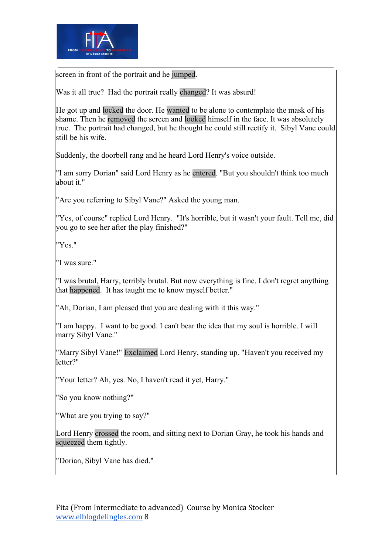

screen in front of the portrait and he jumped.

Was it all true? Had the portrait really changed? It was absurd!

He got up and locked the door. He wanted to be alone to contemplate the mask of his shame. Then he removed the screen and looked himself in the face. It was absolutely true. The portrait had changed, but he thought he could still rectify it. Sibyl Vane could still be his wife.

Suddenly, the doorbell rang and he heard Lord Henry's voice outside.

"I am sorry Dorian" said Lord Henry as he entered. "But you shouldn't think too much about it."

"Are you referring to Sibyl Vane?" Asked the young man.

"Yes, of course" replied Lord Henry. "It's horrible, but it wasn't your fault. Tell me, did you go to see her after the play finished?"

"Yes."

"I was sure."

"I was brutal, Harry, terribly brutal. But now everything is fine. I don't regret anything that happened. It has taught me to know myself better."

"Ah, Dorian, I am pleased that you are dealing with it this way."

"I am happy. I want to be good. I can't bear the idea that my soul is horrible. I will marry Sibyl Vane."

"Marry Sibyl Vane!" Exclaimed Lord Henry, standing up. "Haven't you received my letter?"

"Your letter? Ah, yes. No, I haven't read it yet, Harry."

"So you know nothing?"

"What are you trying to say?"

Lord Henry crossed the room, and sitting next to Dorian Gray, he took his hands and squeezed them tightly.

"Dorian, Sibyl Vane has died."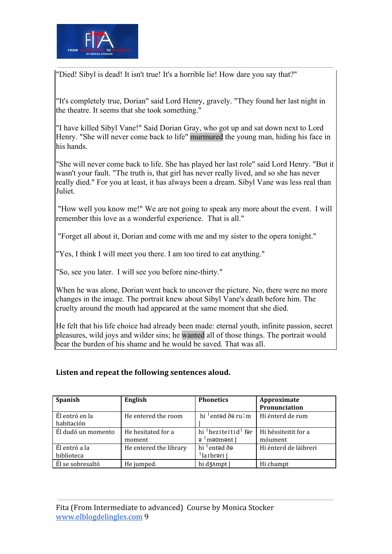

"Died! Sibyl is dead! It isn't true! It's a horrible lie! How dare you say that?"

"It's completely true, Dorian" said Lord Henry, gravely. "They found her last night in the theatre. It seems that she took something."

"I have killed Sibyl Vane!" Said Dorian Gray, who got up and sat down next to Lord Henry. "She will never come back to life" murmured the young man, hiding his face in his hands.

"She will never come back to life. She has played her last role" said Lord Henry. "But it wasn't your fault. "The truth is, that girl has never really lived, and so she has never really died." For you at least, it has always been a dream. Sibyl Vane was less real than Juliet.

 "How well you know me!" We are not going to speak any more about the event. I will remember this love as a wonderful experience. That is all."

"Forget all about it, Dorian and come with me and my sister to the opera tonight."

"Yes, I think I will meet you there. I am too tired to eat anything."

"So, see you later. I will see you before nine-thirty."

When he was alone, Dorian went back to uncover the picture. No, there were no more changes in the image. The portrait knew about Sibyl Vane's death before him. The cruelty around the mouth had appeared at the same moment that she died.

He felt that his life choice had already been made: eternal youth, infinite passion, secret pleasures, wild joys and wilder sins; he wanted all of those things. The portrait would bear the burden of his shame and he would be saved. That was all.

### **Listen and repeat the following sentences aloud.**

| <b>Spanish</b>     | English                | <b>Phonetics</b>                             | Approximate           |
|--------------------|------------------------|----------------------------------------------|-----------------------|
|                    |                        |                                              | Pronunciation         |
| Él entró en la     | He entered the room    | hi $\frac{1}{2}$ entəd ðə ru $\frac{1}{2}$ m | Hi énterd de rum      |
| habitación         |                        |                                              |                       |
| Él dudó un momento | He hesitated for a     | hi <sup>I</sup> heziteitid fər               | Hi héssiteitit for a  |
|                    | moment                 | a 'məʊmənt l                                 | móument               |
| Él entró a la      | He entered the library | hi <sup>1</sup> entəd ðə                     | Hi énterd de láibreri |
| biblioteca         |                        | la <sub>Ibr</sub> əri                        |                       |
| Él se sobresaltó   | He jumped.             | hi d3^mpt                                    | Hi champt             |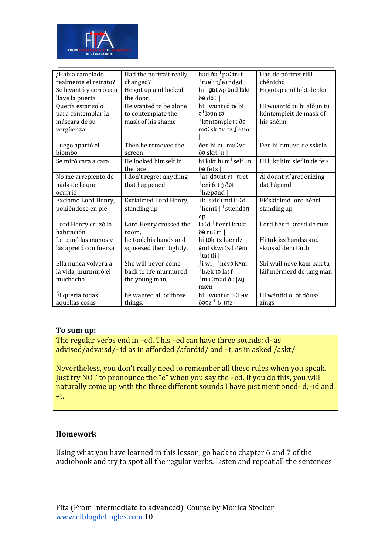

| ¿Había cambiado<br>realmente el retrato?                              | Had the portrait really<br>changed?                              | həd ðə <sup>1</sup> poltrit<br>¦rıəli t∫eınd3d                                   | Had de pórtret ríili<br>chénichd                                 |
|-----------------------------------------------------------------------|------------------------------------------------------------------|----------------------------------------------------------------------------------|------------------------------------------------------------------|
| Se levantó y cerró con<br>llave la puerta                             | He got up and locked<br>the door.                                | hi gpt Ap and lpkt<br>l só eð                                                    | Hi gotap and lokt de dor                                         |
| Quería estar solo<br>para contemplar la<br>máscara de su<br>vergüenza | He wanted to be alone<br>to contemplate the<br>mask of his shame | hi wontid to bi<br>ə <sup>ı</sup> ləʊn tə<br>kpntəmple It ðə<br>malsk əv iz feim | Hi wuantid tu bi alóun tu<br>kóntempleit de másk of<br>his shéim |
| Luego apartó el<br>biombo                                             | Then he removed the<br>screen                                    | ðen hi r I <sup>I</sup> mu ! vd<br>ðə skri∶n                                     | Den hi rímuvd de sskrin                                          |
| Se miró cara a cara                                                   | He looked himself in<br>the face                                 | hi lokt h 1 m <sup>1</sup> self 1 n<br>də feis                                   | Hi lukt him's lef in de feis                                     |
| No me arrepiento de<br>nada de lo que<br>ocurrió                      | I don't regret anything<br>that happened                         | al deuntri gret<br>eni $\theta$ in dot<br>hæp <b>ə</b> nd                        | Ái dount ri'gret énizing<br>dat hápend                           |
| Exclamó Lord Henry,<br>poniéndose en pie                              | Exclaimed Lord Henry,<br>standing up                             | Ik <sup>1</sup> skle Imd lo!d<br>henri   stænd 1 n<br>$\Delta p$                 | Ek'skleimd lord hénri<br>standing ap                             |
| Lord Henry cruzó la<br>habitación                                     | Lord Henry crossed the<br>room,                                  | lo:d henri krost<br>ðə ru∶m∣                                                     | Lord hénri krosd de rum                                          |
| Le tomó las manos y<br>las apretó con fuerza                          | he took his hands and<br>squeezed them tightly.                  | hi tük 1z hændz<br>ənd skwi∶zd ðəm<br><sup> </sup> taɪtli                        | Hi tuk iss handss and<br>skuissd dem táitli                      |
| Ella nunca volverá a<br>la vida, murmuró el<br>muchacho               | She will never come<br>back to life murmured<br>the young man,   | ∫i wl ∣nevə k∧m<br><sup>1</sup> bæk t <b>ə</b> la I f<br>¦m3∶məd ðə j∧ŋ<br>mæn   | Shi wuil néve kam bak tu<br>láif mérmerd de iang man             |
| Él quería todas<br>aquellas cosas                                     | he wanted all of those<br>things.                                | hi wontid oll əv<br>ðəʊz <sup> </sup> θ ɪŋz                                      | Hi wántid ol of dóuss<br>zíngs                                   |

### **To sum up:**

The regular verbs end in –ed. This –ed can have three sounds: d- as advised/advaisd/- id as in afforded /afordid/ and –t, as in asked /askt/

Nevertheless, you don't really need to remember all these rules when you speak. Just try NOT to pronounce the "e" when you say the –ed. If you do this, you will naturally come up with the three different sounds I have just mentioned- d, -id and –t.

### **Homework**

Using what you have learned in this lesson, go back to chapter 6 and 7 of the audiobook and try to spot all the regular verbs. Listen and repeat all the sentences